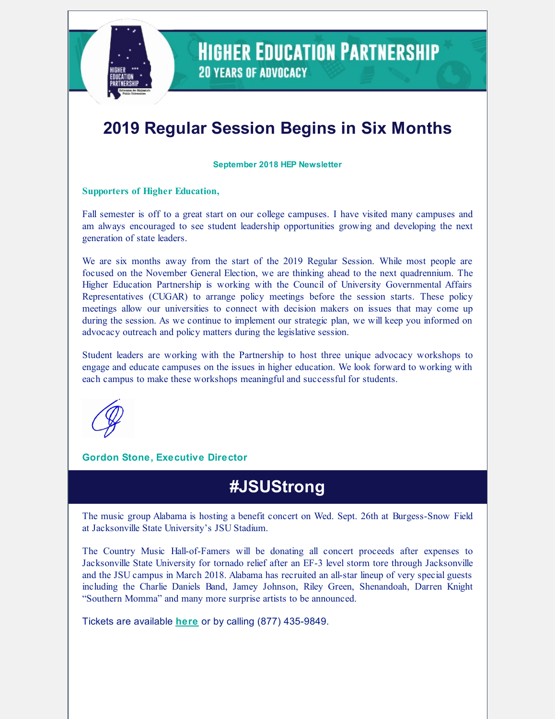

### **HIGHER EDUCATION PARTNERSHIP 20 YEARS OF ADVOCACY**

# **2019 Regular Session Begins in Six Months**

**September 2018 HEP Newsletter**

#### **Supporters of Higher Education,**

Fall semester is off to a great start on our college campuses. I have visited many campuses and am always encouraged to see student leadership opportunities growing and developing the next generation of state leaders.

We are six months away from the start of the 2019 Regular Session. While most people are focused on the November General Election, we are thinking ahead to the next quadrennium. The Higher Education Partnership is working with the Council of University Governmental Affairs Representatives (CUGAR) to arrange policy meetings before the session starts. These policy meetings allow our universities to connect with decision makers on issues that may come up during the session. As we continue to implement our strategic plan, we will keep you informed on advocacy outreach and policy matters during the legislative session.

Student leaders are working with the Partnership to host three unique advocacy workshops to engage and educate campuses on the issues in higher education. We look forward to working with each campus to make these workshops meaningful and successful for students.

#### **Gordon Stone, Executive Director**

### **#JSUStrong**

The music group Alabama is hosting a benefit concert on Wed. Sept. 26th at Burgess-Snow Field at Jacksonville State University's JSU Stadium.

The Country Music Hall-of-Famers will be donating all concert proceeds after expenses to Jacksonville State University for tornado relief after an EF-3 level storm tore through Jacksonville and the JSU campus in March 2018. Alabama has recruited an all-star lineup of very special guests including the Charlie Daniels Band, Jamey Johnson, Riley Green, Shenandoah, Darren Knight "Southern Momma" and many more surprise artists to be announced.

Tickets are available **[here](https://www.ticketfly.com/purchase/event/1692467/tfly?__utma=1.918855003.1537385837.1537385837.1537385837.1&__utmb=1.4.10.1537385837&__utmc=1&__utmx=-&__utmz=1.1537385837.1.1.utmcsr=jsu.edu%7Cutmccn=(referral)%7Cutmcmd=referral%7Cutmcct=/&__utmv=-&__utmk=25948221)** or by calling (877) 435-9849.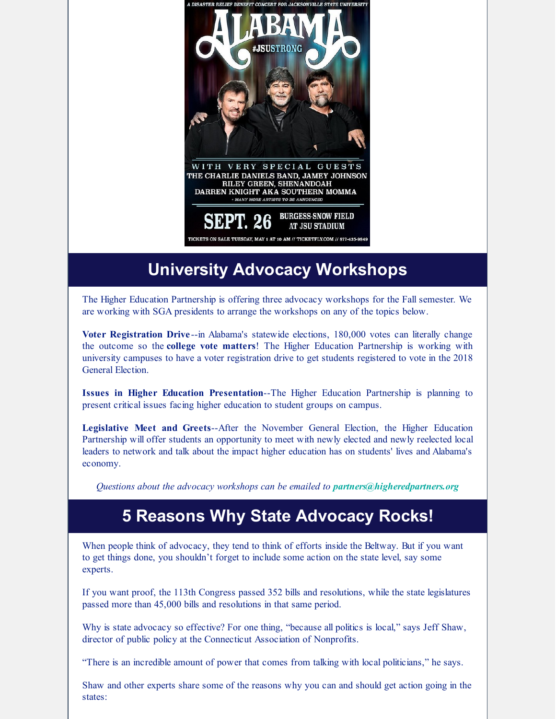

# **University Advocacy Workshops**

The Higher Education Partnership is offering three advocacy workshops for the Fall semester. We are working with SGA presidents to arrange the workshops on any of the topics below.

**Voter Registration Drive** --in Alabama's statewide elections, 180,000 votes can literally change the outcome so the **college vote matters**! The Higher Education Partnership is working with university campuses to have a voter registration drive to get students registered to vote in the 2018 General Election.

**Issues in Higher Education Presentation**--The Higher Education Partnership is planning to present critical issues facing higher education to student groups on campus.

**Legislative Meet and Greets**--After the November General Election, the Higher Education Partnership will offer students an opportunity to meet with newly elected and newly reelected local leaders to network and talk about the impact higher education has on students' lives and Alabama's economy.

*Questions about the advocacy workshops can be emailed to partners@higheredpartners.org*

### **5 Reasons Why State Advocacy Rocks!**

When people think of advocacy, they tend to think of efforts inside the Beltway. But if you want to get things done, you shouldn't forget to include some action on the state level, say some experts.

If you want proof, the 113th Congress passed 352 bills and resolutions, while the state legislatures passed more than 45,000 bills and resolutions in that same period.

Why is state advocacy so effective? For one thing, "because all politics is local," says Jeff Shaw, director of public policy at the Connecticut Association of Nonprofits.

"There is an incredible amount of power that comes from talking with local politicians," he says.

Shaw and other experts share some of the reasons why you can and should get action going in the states: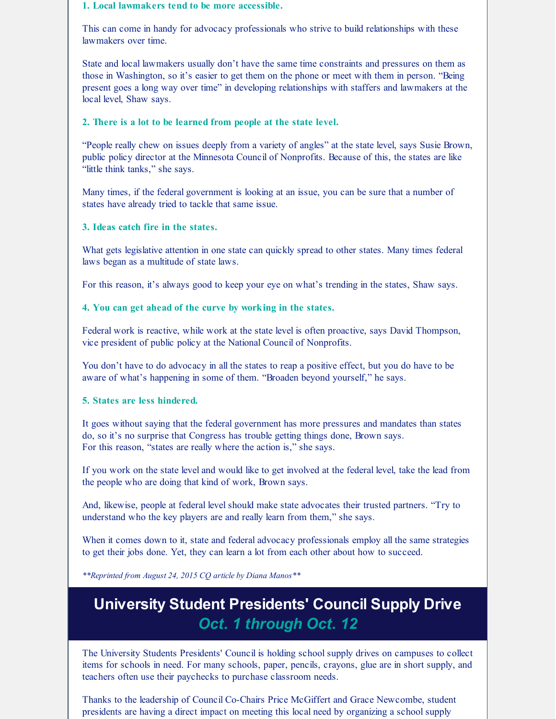#### **1. Local lawmakers tend to be more accessible.**

This can come in handy for advocacy professionals who strive to build relationships with these lawmakers over time.

State and local lawmakers usually don't have the same time constraints and pressures on them as those in Washington, so it's easier to get them on the phone or meet with them in person. "Being present goes a long way over time" in developing relationships with staffers and lawmakers at the local level, Shaw says.

#### **2. There is a lot to be learned from people at the state level.**

"People really chew on issues deeply from a variety of angles" at the state level, says Susie Brown, public policy director at the Minnesota Council of Nonprofits. Because of this, the states are like "little think tanks," she says.

Many times, if the federal government is looking at an issue, you can be sure that a number of states have already tried to tackle that same issue.

#### **3. Ideas catch fire in the states.**

What gets legislative attention in one state can quickly spread to other states. Many times federal laws began as a multitude of state laws.

For this reason, it's always good to keep your eye on what's trending in the states, Shaw says.

#### **4. You can get ahead of the curve by working in the states.**

Federal work is reactive, while work at the state level is often proactive, says David Thompson, vice president of public policy at the National Council of Nonprofits.

You don't have to do advocacy in all the states to reap a positive effect, but you do have to be aware of what's happening in some of them. "Broaden beyond yourself," he says.

#### **5. States are less hindered.**

It goes without saying that the federal government has more pressures and mandates than states do, so it's no surprise that Congress has trouble getting things done, Brown says. For this reason, "states are really where the action is," she says.

If you work on the state level and would like to get involved at the federal level, take the lead from the people who are doing that kind of work, Brown says.

And, likewise, people at federal level should make state advocates their trusted partners. "Try to understand who the key players are and really learn from them," she says.

When it comes down to it, state and federal advocacy professionals employ all the same strategies to get their jobs done. Yet, they can learn a lot from each other about how to succeed.

*\*\*Reprinted from August 24, 2015 CQ article by Diana Manos\*\**

### **University Student Presidents' Council Supply Drive** *Oct. 1 through Oct. 12*

The University Students Presidents' Council is holding school supply drives on campuses to collect items for schools in need. For many schools, paper, pencils, crayons, glue are in short supply, and teachers often use their paychecks to purchase classroom needs.

Thanks to the leadership of Council Co-Chairs Price McGiffert and Grace Newcombe, student presidents are having a direct impact on meeting this local need by organizing a school supply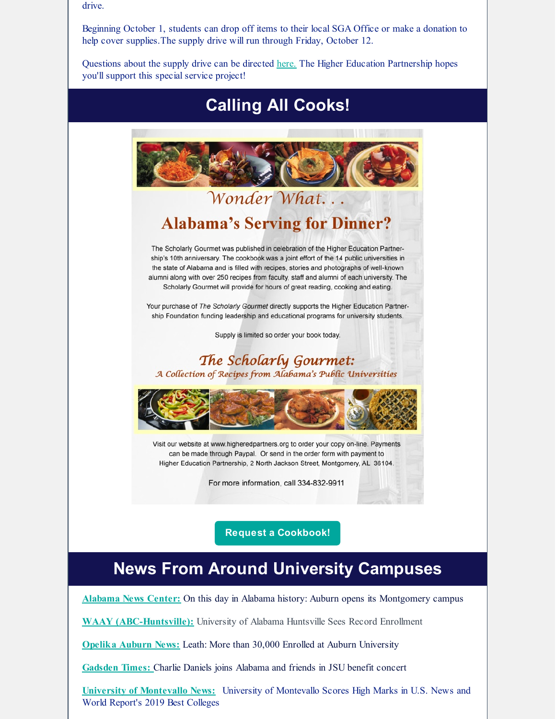drive.

Beginning October 1, students can drop off items to their local SGA Office or make a donation to help cover supplies.The supply drive will run through Friday, October 12.

Questions about the supply drive can be directed [here.](mailto:info@higheredpartners.org) The Higher Education Partnership hopes you'll support this special service project!



# **News From Around University Campuses**

**[Alabama](https://www.alabamanewscenter.com/2018/09/16/day-alabama-history-sept-16/) News Center:** On this day in Alabama history: Auburn opens its Montgomery campus

**WAAY [\(ABC-Huntsville\):](http://www.waaytv.com/content/news/University-of-Alabama-Huntsville-sees-record-enrollment-492441281.html)** University of Alabama Huntsville Sees Record Enrollment

**[Opelika](https://www.oanow.com/news/auburnuniversity/leath-more-than-enrolled-at-auburn-university/article_04cd2504-b88a-11e8-b263-ef86ebf33397.html) Auburn News:** Leath: More than 30,000 Enrolled at Auburn University

**[Gadsden](http://www.gadsdentimes.com/news/20180913/charlie-daniels-joins-alabama-and-friends-in-jsu-benefit-concert) Times:** Charlie Daniels joins Alabama and friends in JSU benefit concert

**University of [Montevallo](https://www.montevallo.edu/us-news-19/) News:** University of Montevallo Scores High Marks in U.S. News and World Report's 2019 Best Colleges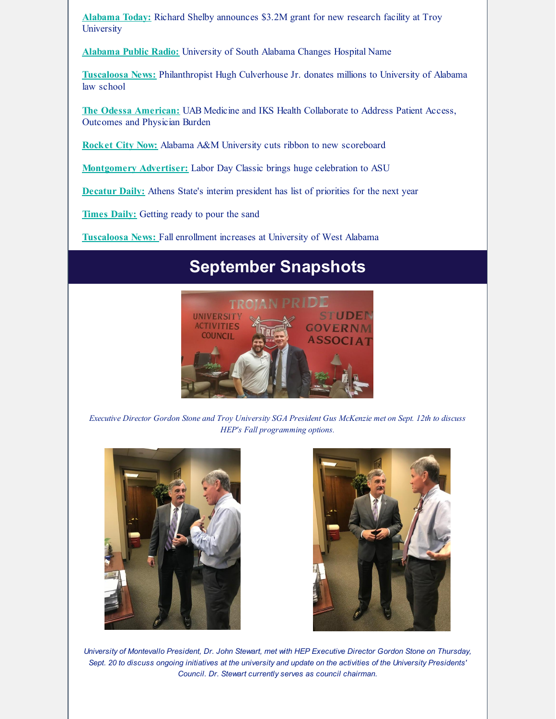**[Alabama](http://altoday.com/archives/26634-richard-shelby-announces-3-2m-grant-for-new-research-facility-at-troy-university) Today:** Richard Shelby announces \$3.2M grant for new research facility at Troy **University** 

**[Alabama](http://www.apr.org/post/university-south-alabama-changes-hospital-name#stream/0) Public Radio:** University of South Alabama Changes Hospital Name

**[Tuscaloosa](https://www.tuscaloosanews.com/news/20180920/philanthropist-hugh-culverhouse-jr-donates-millions-to-university-of-alabama-law-school) News:** Philanthropist Hugh Culverhouse Jr. donates millions to University of Alabama law school

**The Odessa [American:](https://www.oaoa.com/news/business/article_ed3f33c0-ea29-5448-a84c-3b2fd47cd384.html)** UAB Medicine and IKS Health Collaborate to Address Patient Access, Outcomes and Physician Burden

**[Rocket](https://www.rocketcitynow.com/sports/alabama-a-m-university-cuts-ribbon-to-new-scoreboard/1434196517) City Now:** Alabama A&M University cuts ribbon to new scoreboard

**[Montgomery](https://www.montgomeryadvertiser.com/story/entertainment/2018/08/29/labor-day-classic-brings-huge-celebration-asu/1126212002/) Advertiser:** Labor Day Classic brings huge celebration to ASU

**[Decatur](https://www.decaturdaily.com/news/limestone_county/athens-state-s-interim-president-has-list-of-priorities-for/article_505f7486-82bb-5704-8ad5-17853f076b1c.html) Daily:** Athens State's interim president has list of priorities for the next year

**[Times](https://www.timesdaily.com/news_summary/getting-ready-to-pour-the-sand/article_ac09b094-5ee4-5cce-b52f-cf60b34dd0e8.html) Daily:** Getting ready to pour the sand

**[Tuscaloosa](https://www.tuscaloosanews.com/news/20180910/fall-enrollment-increases-at-university-of-west-alabama) News:** Fall enrollment increases at University of West Alabama

# **September Snapshots**



Executive Director Gordon Stone and Troy University SGA President Gus McKenzie met on Sept. 12th to discuss *HEP's Fall programming options.*





*University of Montevallo President, Dr. John Stewart, met with HEP Executive Director Gordon Stone on Thursday,* Sept. 20 to discuss ongoing initiatives at the university and update on the activities of the University Presidents' *Council. Dr. Stewart currently serves as council chairman.*